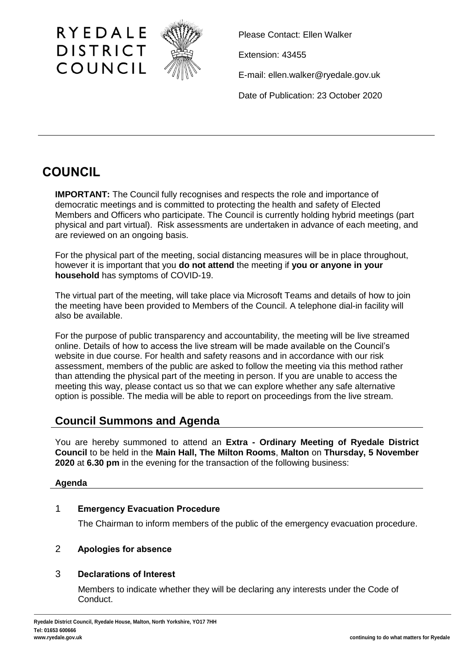

Please Contact: Ellen Walker

Extension: 43455

E-mail: ellen.walker@ryedale.gov.uk

Date of Publication: 23 October 2020

# **COUNCIL**

**IMPORTANT:** The Council fully recognises and respects the role and importance of democratic meetings and is committed to protecting the health and safety of Elected Members and Officers who participate. The Council is currently holding hybrid meetings (part physical and part virtual). Risk assessments are undertaken in advance of each meeting, and are reviewed on an ongoing basis.

For the physical part of the meeting, social distancing measures will be in place throughout, however it is important that you **do not attend** the meeting if **you or anyone in your household** has symptoms of COVID-19.

The virtual part of the meeting, will take place via Microsoft Teams and details of how to join the meeting have been provided to Members of the Council. A telephone dial-in facility will also be available.

For the purpose of public transparency and accountability, the meeting will be live streamed online. Details of how to access the live stream will be made available on the Council's website in due course. For health and safety reasons and in accordance with our risk assessment, members of the public are asked to follow the meeting via this method rather than attending the physical part of the meeting in person. If you are unable to access the meeting this way, please contact us so that we can explore whether any safe alternative option is possible. The media will be able to report on proceedings from the live stream.

## **Council Summons and Agenda**

You are hereby summoned to attend an **Extra - Ordinary Meeting of Ryedale District Council** to be held in the **Main Hall, The Milton Rooms**, **Malton** on **Thursday, 5 November 2020** at **6.30 pm** in the evening for the transaction of the following business:

#### **Agenda**

# 1 **Emergency Evacuation Procedure**

The Chairman to inform members of the public of the emergency evacuation procedure.

# 2 **Apologies for absence**

## 3 **Declarations of Interest**

Members to indicate whether they will be declaring any interests under the Code of Conduct.